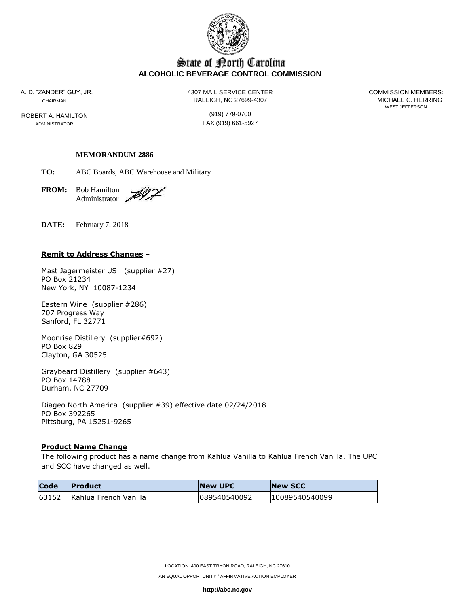

# State of Borth Carolina **ALCOHOLIC BEVERAGE CONTROL COMMISSION**

ROBERT A. HAMILTON (919) 779-0700

A. D. "ZANDER" GUY, JR. 4307 MAIL SERVICE CENTER COMMISSION MEMBERS: CHAIRMAN CHAIRMAN CHAIRMAN

WEST JEFFERSON

ADMINISTRATOR **FAX** (919) 661-5927

# **MEMORANDUM 2886**

**TO:** ABC Boards, ABC Warehouse and Military

**FROM:** Bob Hamilton Administrator .

DIL.

**DATE:** February 7, 2018

### **Remit to Address Changes** –

Mast Jagermeister US (supplier #27) PO Box 21234 New York, NY 10087-1234

Eastern Wine (supplier #286) 707 Progress Way Sanford, FL 32771

Moonrise Distillery (supplier#692) PO Box 829 Clayton, GA 30525

Graybeard Distillery (supplier #643) PO Box 14788 Durham, NC 27709

Diageo North America (supplier #39) effective date 02/24/2018 PO Box 392265 Pittsburg, PA 15251-9265

## **Product Name Change**

The following product has a name change from Kahlua Vanilla to Kahlua French Vanilla. The UPC and SCC have changed as well.

| <b>Code</b> | <b>Product</b>        | <b>New UPC</b> | <b>New SCC</b> |
|-------------|-----------------------|----------------|----------------|
| 63152       | Kahlua French Vanilla | 089540540092   | 10089540540099 |

**http://abc.nc.gov**